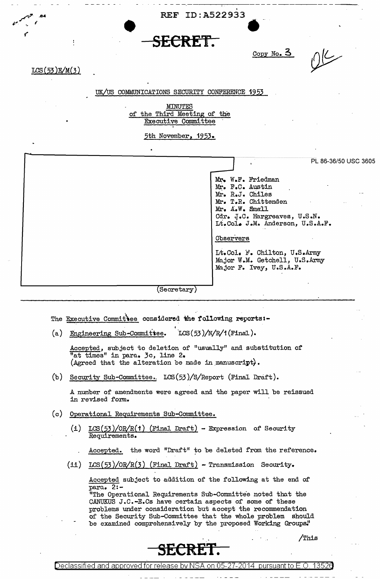. REF ID:A522933

## ,,,. I -. • **SECRET.**

 $LCS(53)E/M(3)$ 

84. ليتجه<sub>م</sub>

## Copy No. 3

.-

کے (۱

## UK/US COMMUNICATIONS SECURITY CONFERENCE 1953

MINUTES of the Third Meeting of the EXecutive Committee

5th November, 1953.

Mr. W.F. Friedman<br>Mr. F.C. Austin Mr. R.J. Chiles Mr. T.R. Chittenden Mr. A.w. &nall PL 86-36/50 USC 3605 Cdr. J.C. Hargreaves, U.S.N. Lt.Col• J.M. Anderson, U.S.A.F. Observers Lt.Col. it'. Chilton, U.S.Army Major W.M. Getchell, U.S.Army Major F. Ivey, U.S.A.F. Secretary

The Executive Committee considered the following reports:-

(a) Engineering Sub-Committee.  $LCS(53)/N/R/1$  (Final).

Accepted, subject to deletion of "usually" and substitution of "at times" in para. 3c, line 2. (Agreed that the alteration be made in manuscript).

(b) Security Sub-Committee. LCS(53)/S/Report (Final Draft).

A number of amendments were agreed and the paper will be reissued in revised form.

- $(c)$  Operational Requirements Sub-Committee.
	- (i) LCS(53)/OR/R(1) (Final Draft) Expression of Security Requirements.
		- Accepted. the word "Draft" to be deleted from the reference.
	- (ii)  $LCS(53)/OR/R(3)$  (Final Draft) Transmission Security.

Accepted subject to addition of the following at the end of' para. 2:-

"The Operational Requirements Sub-Committe'e noted that the CANUKUS J.C.-E.Cs have certain aspects of some of these problems under consideration but accept the recommendation of the Security Sub-Committee that the whole problem should be examined comprehensively by the proposed Working Groups."



Declassified and approved for release by NSA on 05-27-2014 pursuanti

/This